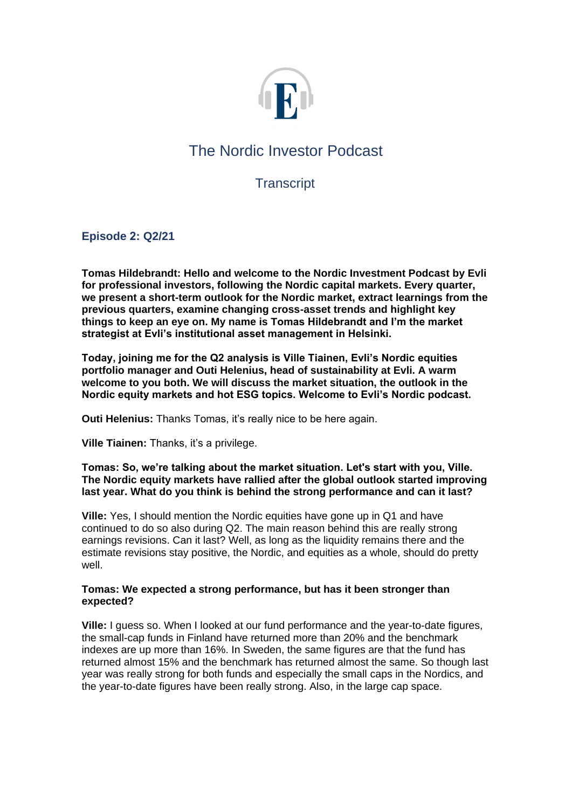

# The Nordic Investor Podcast

# **Transcript**

**Episode 2: Q2/21** 

**Tomas Hildebrandt: Hello and welcome to the Nordic Investment Podcast by Evli for professional investors, following the Nordic capital markets. Every quarter, we present a short-term outlook for the Nordic market, extract learnings from the previous quarters, examine changing cross-asset trends and highlight key things to keep an eye on. My name is Tomas Hildebrandt and I'm the market strategist at Evli's institutional asset management in Helsinki.**

**Today, joining me for the Q2 analysis is Ville Tiainen, Evli's Nordic equities portfolio manager and Outi Helenius, head of sustainability at Evli. A warm welcome to you both. We will discuss the market situation, the outlook in the Nordic equity markets and hot ESG topics. Welcome to Evli's Nordic podcast.**

**Outi Helenius:** Thanks Tomas, it's really nice to be here again.

**Ville Tiainen:** Thanks, it's a privilege.

**Tomas: So, we're talking about the market situation. Let's start with you, Ville. The Nordic equity markets have rallied after the global outlook started improving last year. What do you think is behind the strong performance and can it last?**

**Ville:** Yes, I should mention the Nordic equities have gone up in Q1 and have continued to do so also during Q2. The main reason behind this are really strong earnings revisions. Can it last? Well, as long as the liquidity remains there and the estimate revisions stay positive, the Nordic, and equities as a whole, should do pretty well.

# **Tomas: We expected a strong performance, but has it been stronger than expected?**

**Ville:** I guess so. When I looked at our fund performance and the year-to-date figures, the small-cap funds in Finland have returned more than 20% and the benchmark indexes are up more than 16%. In Sweden, the same figures are that the fund has returned almost 15% and the benchmark has returned almost the same. So though last year was really strong for both funds and especially the small caps in the Nordics, and the year-to-date figures have been really strong. Also, in the large cap space.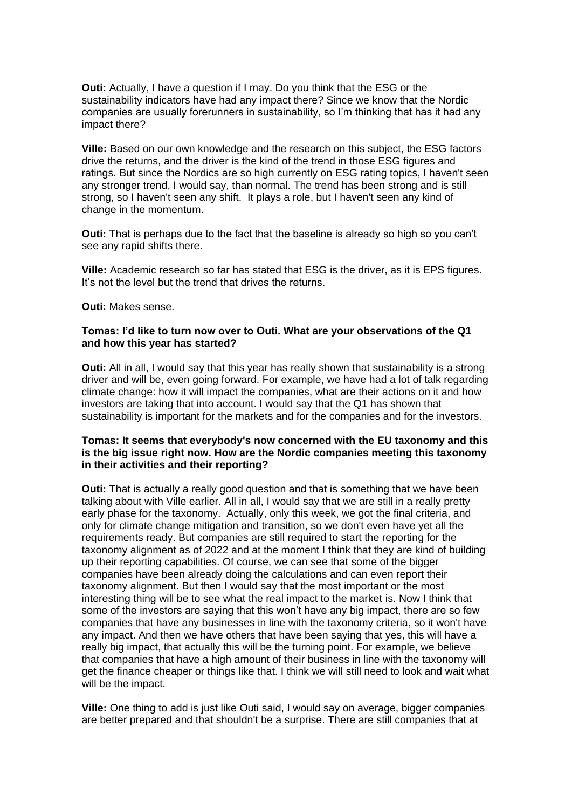**Outi:** Actually, I have a question if I may. Do you think that the ESG or the sustainability indicators have had any impact there? Since we know that the Nordic companies are usually forerunners in sustainability, so I'm thinking that has it had any impact there?

**Ville:** Based on our own knowledge and the research on this subject, the ESG factors drive the returns, and the driver is the kind of the trend in those ESG figures and ratings. But since the Nordics are so high currently on ESG rating topics, I haven't seen any stronger trend, I would say, than normal. The trend has been strong and is still strong, so I haven't seen any shift. It plays a role, but I haven't seen any kind of change in the momentum.

**Outi:** That is perhaps due to the fact that the baseline is already so high so you can't see any rapid shifts there.

**Ville:** Academic research so far has stated that ESG is the driver, as it is EPS figures. It's not the level but the trend that drives the returns.

**Outi:** Makes sense.

#### **Tomas: I'd like to turn now over to Outi. What are your observations of the Q1 and how this year has started?**

**Outi:** All in all, I would say that this year has really shown that sustainability is a strong driver and will be, even going forward. For example, we have had a lot of talk regarding climate change: how it will impact the companies, what are their actions on it and how investors are taking that into account. I would say that the Q1 has shown that sustainability is important for the markets and for the companies and for the investors.

# **Tomas: It seems that everybody's now concerned with the EU taxonomy and this is the big issue right now. How are the Nordic companies meeting this taxonomy in their activities and their reporting?**

**Outi:** That is actually a really good question and that is something that we have been talking about with Ville earlier. All in all, I would say that we are still in a really pretty early phase for the taxonomy. Actually, only this week, we got the final criteria, and only for climate change mitigation and transition, so we don't even have yet all the requirements ready. But companies are still required to start the reporting for the taxonomy alignment as of 2022 and at the moment I think that they are kind of building up their reporting capabilities. Of course, we can see that some of the bigger companies have been already doing the calculations and can even report their taxonomy alignment. But then I would say that the most important or the most interesting thing will be to see what the real impact to the market is. Now I think that some of the investors are saying that this won't have any big impact, there are so few companies that have any businesses in line with the taxonomy criteria, so it won't have any impact. And then we have others that have been saying that yes, this will have a really big impact, that actually this will be the turning point. For example, we believe that companies that have a high amount of their business in line with the taxonomy will get the finance cheaper or things like that. I think we will still need to look and wait what will be the impact.

**Ville:** One thing to add is just like Outi said, I would say on average, bigger companies are better prepared and that shouldn't be a surprise. There are still companies that at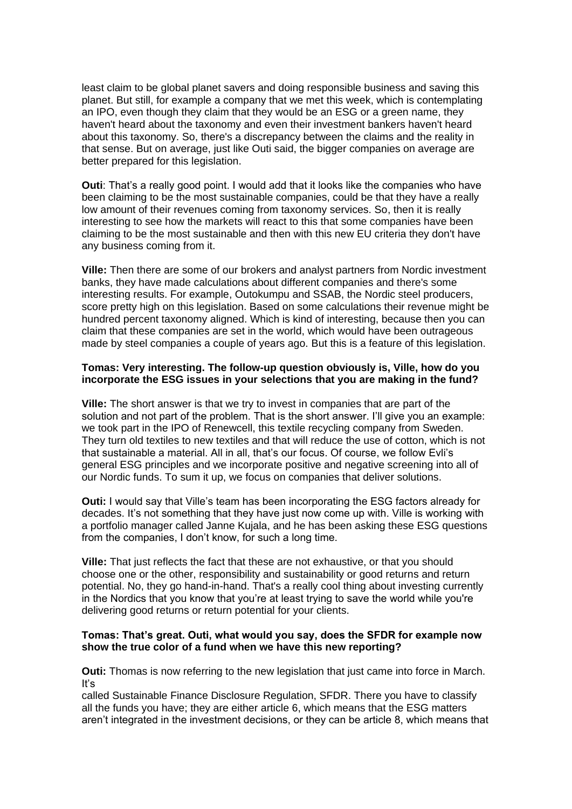least claim to be global planet savers and doing responsible business and saving this planet. But still, for example a company that we met this week, which is contemplating an IPO, even though they claim that they would be an ESG or a green name, they haven't heard about the taxonomy and even their investment bankers haven't heard about this taxonomy. So, there's a discrepancy between the claims and the reality in that sense. But on average, just like Outi said, the bigger companies on average are better prepared for this legislation.

**Outi**: That's a really good point. I would add that it looks like the companies who have been claiming to be the most sustainable companies, could be that they have a really low amount of their revenues coming from taxonomy services. So, then it is really interesting to see how the markets will react to this that some companies have been claiming to be the most sustainable and then with this new EU criteria they don't have any business coming from it.

**Ville:** Then there are some of our brokers and analyst partners from Nordic investment banks, they have made calculations about different companies and there's some interesting results. For example, Outokumpu and SSAB, the Nordic steel producers, score pretty high on this legislation. Based on some calculations their revenue might be hundred percent taxonomy aligned. Which is kind of interesting, because then you can claim that these companies are set in the world, which would have been outrageous made by steel companies a couple of years ago. But this is a feature of this legislation.

# **Tomas: Very interesting. The follow-up question obviously is, Ville, how do you incorporate the ESG issues in your selections that you are making in the fund?**

**Ville:** The short answer is that we try to invest in companies that are part of the solution and not part of the problem. That is the short answer. I'll give you an example: we took part in the IPO of Renewcell, this textile recycling company from Sweden. They turn old textiles to new textiles and that will reduce the use of cotton, which is not that sustainable a material. All in all, that's our focus. Of course, we follow Evli's general ESG principles and we incorporate positive and negative screening into all of our Nordic funds. To sum it up, we focus on companies that deliver solutions.

**Outi:** I would say that Ville's team has been incorporating the ESG factors already for decades. It's not something that they have just now come up with. Ville is working with a portfolio manager called Janne Kujala, and he has been asking these ESG questions from the companies, I don't know, for such a long time.

**Ville:** That just reflects the fact that these are not exhaustive, or that you should choose one or the other, responsibility and sustainability or good returns and return potential. No, they go hand-in-hand. That's a really cool thing about investing currently in the Nordics that you know that you're at least trying to save the world while you're delivering good returns or return potential for your clients.

# **Tomas: That's great. Outi, what would you say, does the SFDR for example now show the true color of a fund when we have this new reporting?**

**Outi:** Thomas is now referring to the new legislation that just came into force in March. It's

called Sustainable Finance Disclosure Regulation, SFDR. There you have to classify all the funds you have; they are either article 6, which means that the ESG matters aren't integrated in the investment decisions, or they can be article 8, which means that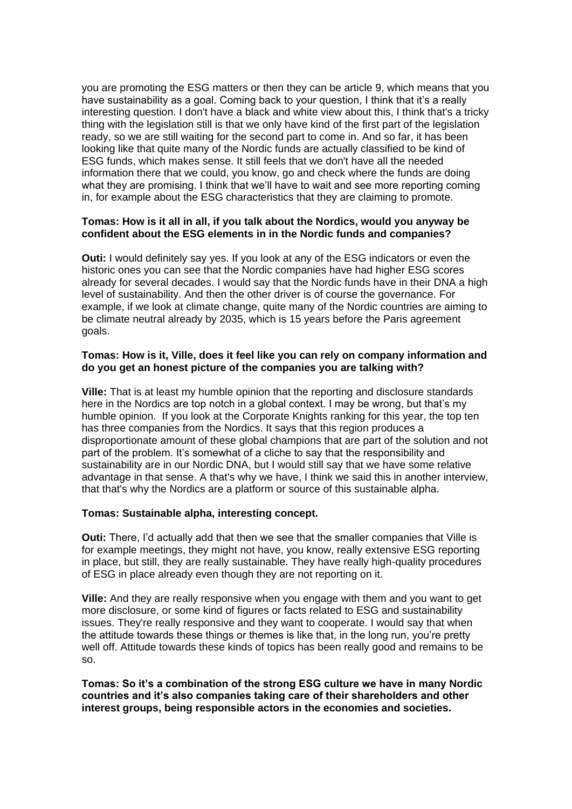you are promoting the ESG matters or then they can be article 9, which means that you have sustainability as a goal. Coming back to your question, I think that it's a really interesting question. I don't have a black and white view about this, I think that's a tricky thing with the legislation still is that we only have kind of the first part of the legislation ready, so we are still waiting for the second part to come in. And so far, it has been looking like that quite many of the Nordic funds are actually classified to be kind of ESG funds, which makes sense. It still feels that we don't have all the needed information there that we could, you know, go and check where the funds are doing what they are promising. I think that we'll have to wait and see more reporting coming in, for example about the ESG characteristics that they are claiming to promote.

# **Tomas: How is it all in all, if you talk about the Nordics, would you anyway be confident about the ESG elements in in the Nordic funds and companies?**

**Outi:** I would definitely say yes. If you look at any of the ESG indicators or even the historic ones you can see that the Nordic companies have had higher ESG scores already for several decades. I would say that the Nordic funds have in their DNA a high level of sustainability. And then the other driver is of course the governance. For example, if we look at climate change, quite many of the Nordic countries are aiming to be climate neutral already by 2035, which is 15 years before the Paris agreement goals.

### **Tomas: How is it, Ville, does it feel like you can rely on company information and do you get an honest picture of the companies you are talking with?**

**Ville:** That is at least my humble opinion that the reporting and disclosure standards here in the Nordics are top notch in a global context. I may be wrong, but that's my humble opinion. If you look at the Corporate Knights ranking for this year, the top ten has three companies from the Nordics. It says that this region produces a disproportionate amount of these global champions that are part of the solution and not part of the problem. It's somewhat of a cliche to say that the responsibility and sustainability are in our Nordic DNA, but I would still say that we have some relative advantage in that sense. A that's why we have, I think we said this in another interview, that that's why the Nordics are a platform or source of this sustainable alpha.

#### **Tomas: Sustainable alpha, interesting concept.**

**Outi:** There, I'd actually add that then we see that the smaller companies that Ville is for example meetings, they might not have, you know, really extensive ESG reporting in place, but still, they are really sustainable. They have really high-quality procedures of ESG in place already even though they are not reporting on it.

**Ville:** And they are really responsive when you engage with them and you want to get more disclosure, or some kind of figures or facts related to ESG and sustainability issues. They're really responsive and they want to cooperate. I would say that when the attitude towards these things or themes is like that, in the long run, you're pretty well off. Attitude towards these kinds of topics has been really good and remains to be so.

**Tomas: So it's a combination of the strong ESG culture we have in many Nordic countries and it's also companies taking care of their shareholders and other interest groups, being responsible actors in the economies and societies.**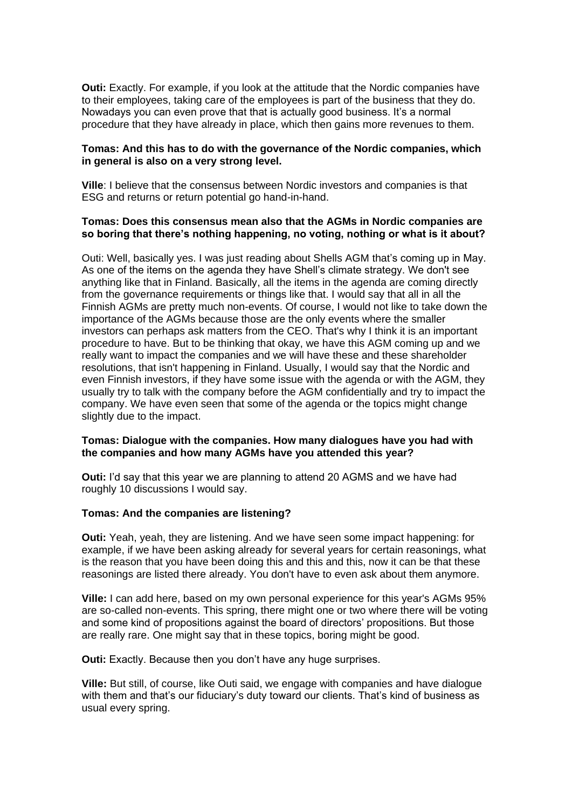**Outi:** Exactly. For example, if you look at the attitude that the Nordic companies have to their employees, taking care of the employees is part of the business that they do. Nowadays you can even prove that that is actually good business. It's a normal procedure that they have already in place, which then gains more revenues to them.

### **Tomas: And this has to do with the governance of the Nordic companies, which in general is also on a very strong level.**

**Ville**: I believe that the consensus between Nordic investors and companies is that ESG and returns or return potential go hand-in-hand.

# **Tomas: Does this consensus mean also that the AGMs in Nordic companies are so boring that there's nothing happening, no voting, nothing or what is it about?**

Outi: Well, basically yes. I was just reading about Shells AGM that's coming up in May. As one of the items on the agenda they have Shell's climate strategy. We don't see anything like that in Finland. Basically, all the items in the agenda are coming directly from the governance requirements or things like that. I would say that all in all the Finnish AGMs are pretty much non-events. Of course, I would not like to take down the importance of the AGMs because those are the only events where the smaller investors can perhaps ask matters from the CEO. That's why I think it is an important procedure to have. But to be thinking that okay, we have this AGM coming up and we really want to impact the companies and we will have these and these shareholder resolutions, that isn't happening in Finland. Usually, I would say that the Nordic and even Finnish investors, if they have some issue with the agenda or with the AGM, they usually try to talk with the company before the AGM confidentially and try to impact the company. We have even seen that some of the agenda or the topics might change slightly due to the impact.

# **Tomas: Dialogue with the companies. How many dialogues have you had with the companies and how many AGMs have you attended this year?**

**Outi:** I'd say that this year we are planning to attend 20 AGMS and we have had roughly 10 discussions I would say.

#### **Tomas: And the companies are listening?**

**Outi:** Yeah, yeah, they are listening. And we have seen some impact happening: for example, if we have been asking already for several years for certain reasonings, what is the reason that you have been doing this and this and this, now it can be that these reasonings are listed there already. You don't have to even ask about them anymore.

**Ville:** I can add here, based on my own personal experience for this year's AGMs 95% are so-called non-events. This spring, there might one or two where there will be voting and some kind of propositions against the board of directors' propositions. But those are really rare. One might say that in these topics, boring might be good.

**Outi:** Exactly. Because then you don't have any huge surprises.

**Ville:** But still, of course, like Outi said, we engage with companies and have dialogue with them and that's our fiduciary's duty toward our clients. That's kind of business as usual every spring.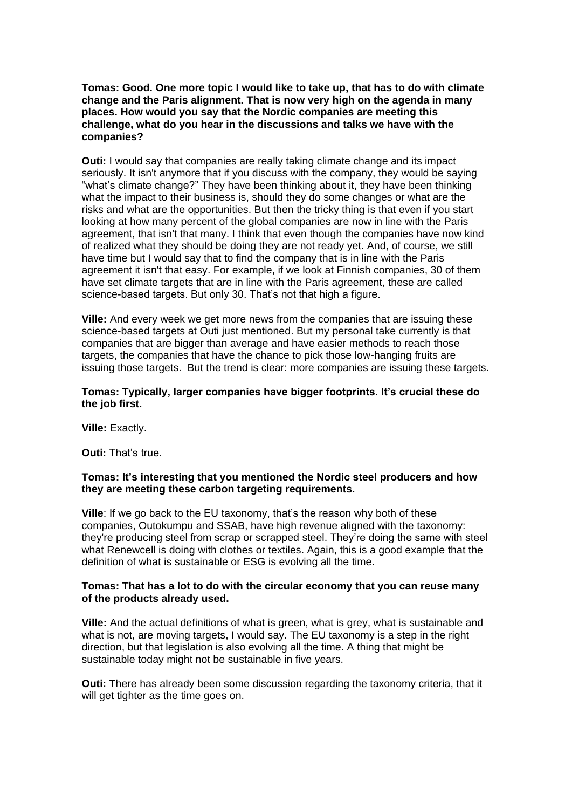**Tomas: Good. One more topic I would like to take up, that has to do with climate change and the Paris alignment. That is now very high on the agenda in many places. How would you say that the Nordic companies are meeting this challenge, what do you hear in the discussions and talks we have with the companies?**

**Outi:** I would say that companies are really taking climate change and its impact seriously. It isn't anymore that if you discuss with the company, they would be saying "what's climate change?" They have been thinking about it, they have been thinking what the impact to their business is, should they do some changes or what are the risks and what are the opportunities. But then the tricky thing is that even if you start looking at how many percent of the global companies are now in line with the Paris agreement, that isn't that many. I think that even though the companies have now kind of realized what they should be doing they are not ready yet. And, of course, we still have time but I would say that to find the company that is in line with the Paris agreement it isn't that easy. For example, if we look at Finnish companies, 30 of them have set climate targets that are in line with the Paris agreement, these are called science-based targets. But only 30. That's not that high a figure.

**Ville:** And every week we get more news from the companies that are issuing these science-based targets at Outi just mentioned. But my personal take currently is that companies that are bigger than average and have easier methods to reach those targets, the companies that have the chance to pick those low-hanging fruits are issuing those targets. But the trend is clear: more companies are issuing these targets.

#### **Tomas: Typically, larger companies have bigger footprints. It's crucial these do the job first.**

**Ville:** Exactly.

**Outi:** That's true.

#### **Tomas: It's interesting that you mentioned the Nordic steel producers and how they are meeting these carbon targeting requirements.**

**Ville**: If we go back to the EU taxonomy, that's the reason why both of these companies, Outokumpu and SSAB, have high revenue aligned with the taxonomy: they're producing steel from scrap or scrapped steel. They're doing the same with steel what Renewcell is doing with clothes or textiles. Again, this is a good example that the definition of what is sustainable or ESG is evolving all the time.

#### **Tomas: That has a lot to do with the circular economy that you can reuse many of the products already used.**

**Ville:** And the actual definitions of what is green, what is grey, what is sustainable and what is not, are moving targets, I would say. The EU taxonomy is a step in the right direction, but that legislation is also evolving all the time. A thing that might be sustainable today might not be sustainable in five years.

**Outi:** There has already been some discussion regarding the taxonomy criteria, that it will get tighter as the time goes on.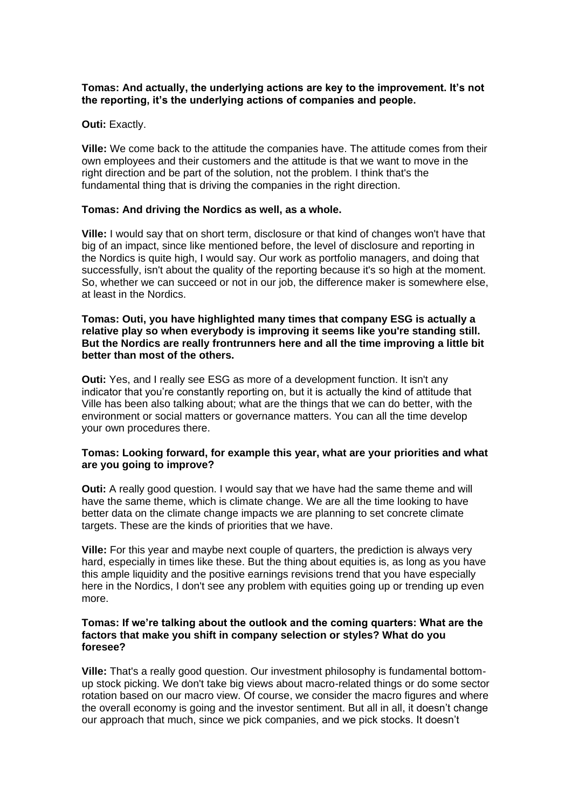# **Tomas: And actually, the underlying actions are key to the improvement. It's not the reporting, it's the underlying actions of companies and people.**

# **Outi:** Exactly.

**Ville:** We come back to the attitude the companies have. The attitude comes from their own employees and their customers and the attitude is that we want to move in the right direction and be part of the solution, not the problem. I think that's the fundamental thing that is driving the companies in the right direction.

# **Tomas: And driving the Nordics as well, as a whole.**

**Ville:** I would say that on short term, disclosure or that kind of changes won't have that big of an impact, since like mentioned before, the level of disclosure and reporting in the Nordics is quite high, I would say. Our work as portfolio managers, and doing that successfully, isn't about the quality of the reporting because it's so high at the moment. So, whether we can succeed or not in our job, the difference maker is somewhere else, at least in the Nordics.

# **Tomas: Outi, you have highlighted many times that company ESG is actually a relative play so when everybody is improving it seems like you're standing still. But the Nordics are really frontrunners here and all the time improving a little bit better than most of the others.**

**Outi:** Yes, and I really see ESG as more of a development function. It isn't any indicator that you're constantly reporting on, but it is actually the kind of attitude that Ville has been also talking about; what are the things that we can do better, with the environment or social matters or governance matters. You can all the time develop your own procedures there.

# **Tomas: Looking forward, for example this year, what are your priorities and what are you going to improve?**

**Outi:** A really good question. I would say that we have had the same theme and will have the same theme, which is climate change. We are all the time looking to have better data on the climate change impacts we are planning to set concrete climate targets. These are the kinds of priorities that we have.

**Ville:** For this year and maybe next couple of quarters, the prediction is always very hard, especially in times like these. But the thing about equities is, as long as you have this ample liquidity and the positive earnings revisions trend that you have especially here in the Nordics, I don't see any problem with equities going up or trending up even more.

#### **Tomas: If we're talking about the outlook and the coming quarters: What are the factors that make you shift in company selection or styles? What do you foresee?**

**Ville:** That's a really good question. Our investment philosophy is fundamental bottomup stock picking. We don't take big views about macro-related things or do some sector rotation based on our macro view. Of course, we consider the macro figures and where the overall economy is going and the investor sentiment. But all in all, it doesn't change our approach that much, since we pick companies, and we pick stocks. It doesn't